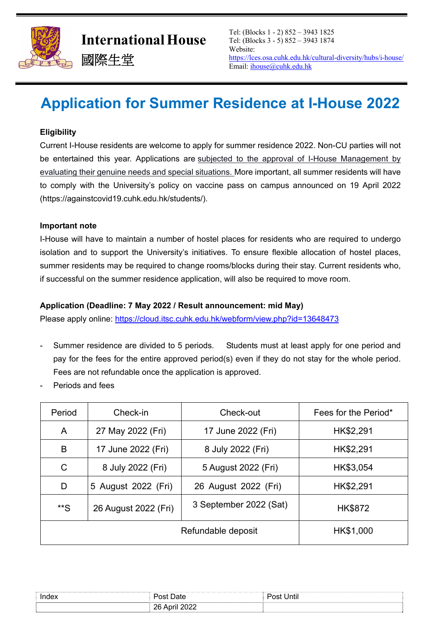

# **Application for Summer Residence at I-House 2022**

## **Eligibility**

Current I-House residents are welcome to apply for summer residence 2022. Non-CU parties will not be entertained this year. Applications are subjected to the approval of I-House Management by evaluating their genuine needs and special situations. More important, all summer residents will have to comply with the University's policy on vaccine pass on campus announced on 19 April 2022 (https://againstcovid19.cuhk.edu.hk/students/).

#### **Important note**

I-House will have to maintain a number of hostel places for residents who are required to undergo isolation and to support the University's initiatives. To ensure flexible allocation of hostel places, summer residents may be required to change rooms/blocks during their stay. Current residents who, if successful on the summer residence application, will also be required to move room.

#### **Application (Deadline: 7 May 2022 / Result announcement: mid May)**

Please apply online: https://cloud.itsc.cuhk.edu.hk/webform/view.php?id=13648473

- Summer residence are divided to 5 periods. Students must at least apply for one period and pay for the fees for the entire approved period(s) even if they do not stay for the whole period. Fees are not refundable once the application is approved.
- Periods and fees

| Period             | Check-in             | Check-out              | Fees for the Period* |
|--------------------|----------------------|------------------------|----------------------|
| A                  | 27 May 2022 (Fri)    | 17 June 2022 (Fri)     | HK\$2,291            |
| B                  | 17 June 2022 (Fri)   | 8 July 2022 (Fri)      | HK\$2,291            |
| C                  | 8 July 2022 (Fri)    | 5 August 2022 (Fri)    | HK\$3,054            |
| D                  | 5 August 2022 (Fri)  | 26 August 2022 (Fri)   | HK\$2,291            |
| **S                | 26 August 2022 (Fri) | 3 September 2022 (Sat) | <b>HK\$872</b>       |
| Refundable deposit |                      |                        | HK\$1,000            |

| Index | .                            | <br>. יoct<br>l Inti<br>,,,, |
|-------|------------------------------|------------------------------|
|       | ∩∩ח<br>วค<br>LULL<br>∠∪<br>. |                              |